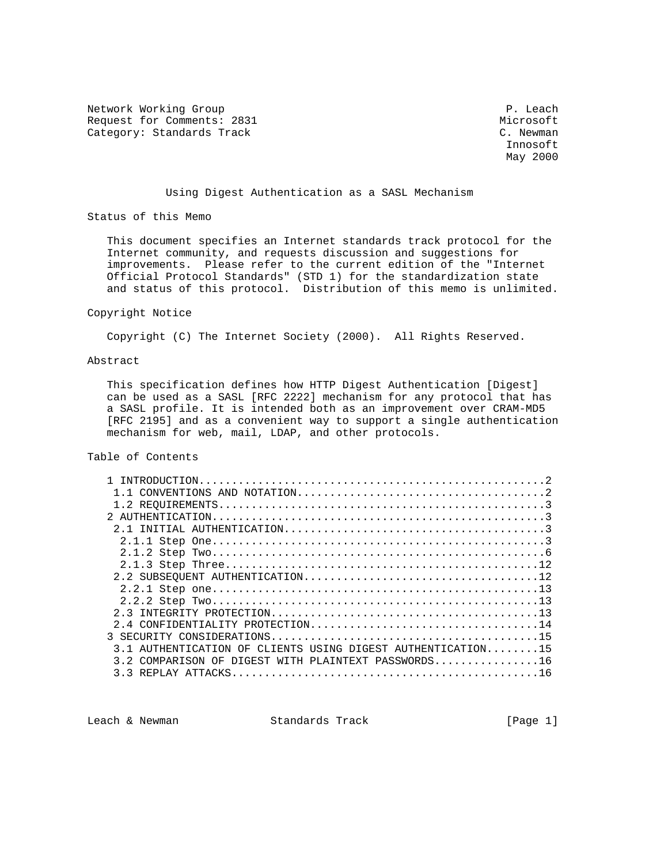Network Working Group **P. Leach** Request for Comments: 2831 Microsoft Microsoft Microsoft (1989) Microsoft (1989) Microsoft (1989) Microsoft (1<br>
Microsoft (1989) Microsoft (1989) Microsoft (1989) Microsoft (1989) Microsoft (1989) Microsoft (1989) Microsof Category: Standards Track

 Innosoft May 2000

## Using Digest Authentication as a SASL Mechanism

Status of this Memo

 This document specifies an Internet standards track protocol for the Internet community, and requests discussion and suggestions for improvements. Please refer to the current edition of the "Internet Official Protocol Standards" (STD 1) for the standardization state and status of this protocol. Distribution of this memo is unlimited.

#### Copyright Notice

Copyright (C) The Internet Society (2000). All Rights Reserved.

## Abstract

 This specification defines how HTTP Digest Authentication [Digest] can be used as a SASL [RFC 2222] mechanism for any protocol that has a SASL profile. It is intended both as an improvement over CRAM-MD5 [RFC 2195] and as a convenient way to support a single authentication mechanism for web, mail, LDAP, and other protocols.

## Table of Contents

| 3.1 AUTHENTICATION OF CLIENTS USING DIGEST AUTHENTICATION15 |  |
|-------------------------------------------------------------|--|
| DIGEST WITH PLAINTEXT PASSWORDS16<br>COMPARISON OF          |  |
|                                                             |  |
|                                                             |  |

Leach & Newman Standards Track [Page 1]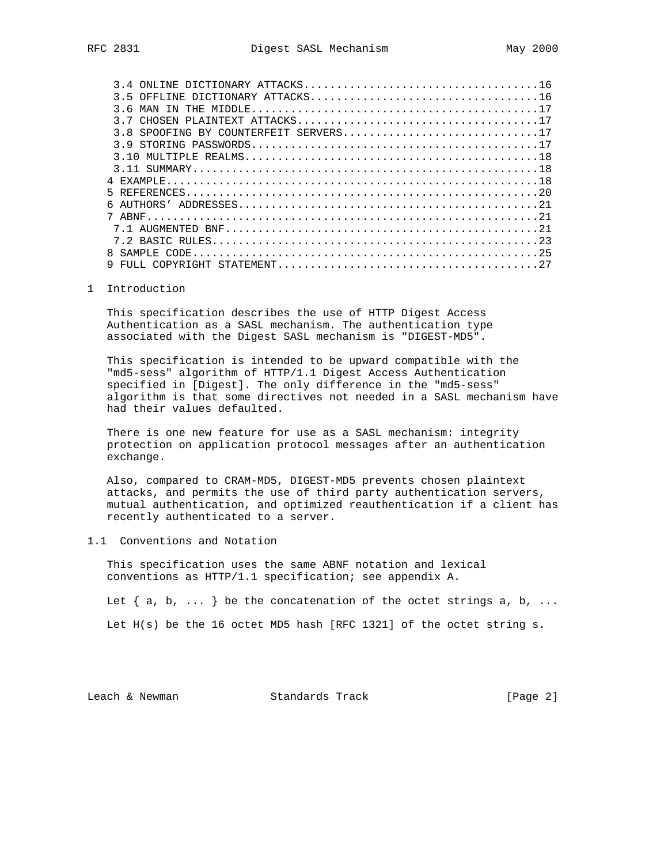| 36<br>MAN                             |
|---------------------------------------|
|                                       |
| 3.8 SPOOFING BY COUNTERFEIT SERVERS17 |
| 39                                    |
|                                       |
|                                       |
| EXAMPLE.                              |
|                                       |
| 6                                     |
| 7 ARNF                                |
|                                       |
|                                       |
|                                       |
|                                       |

## 1 Introduction

 This specification describes the use of HTTP Digest Access Authentication as a SASL mechanism. The authentication type associated with the Digest SASL mechanism is "DIGEST-MD5".

 This specification is intended to be upward compatible with the "md5-sess" algorithm of HTTP/1.1 Digest Access Authentication specified in [Digest]. The only difference in the "md5-sess" algorithm is that some directives not needed in a SASL mechanism have had their values defaulted.

 There is one new feature for use as a SASL mechanism: integrity protection on application protocol messages after an authentication exchange.

 Also, compared to CRAM-MD5, DIGEST-MD5 prevents chosen plaintext attacks, and permits the use of third party authentication servers, mutual authentication, and optimized reauthentication if a client has recently authenticated to a server.

## 1.1 Conventions and Notation

 This specification uses the same ABNF notation and lexical conventions as HTTP/1.1 specification; see appendix A.

Let  $\{ a, b, \ldots \}$  be the concatenation of the octet strings  $a, b, \ldots$ 

Let H(s) be the 16 octet MD5 hash [RFC 1321] of the octet string s.

Leach & Newman Standards Track [Page 2]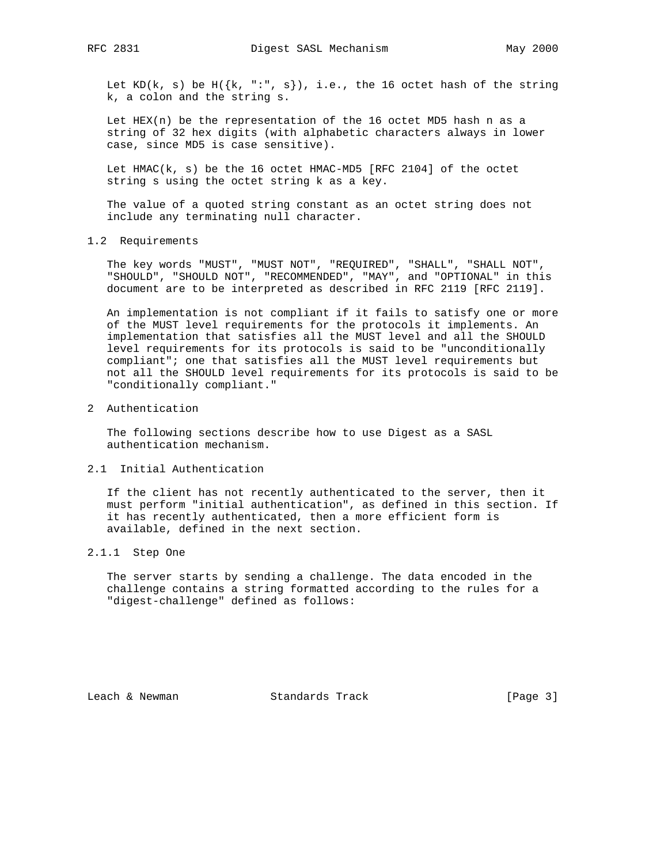Let KD(k, s) be H( $\{k, ":", s\}$ ), i.e., the 16 octet hash of the string k, a colon and the string s.

 Let HEX(n) be the representation of the 16 octet MD5 hash n as a string of 32 hex digits (with alphabetic characters always in lower case, since MD5 is case sensitive).

 Let HMAC(k, s) be the 16 octet HMAC-MD5 [RFC 2104] of the octet string s using the octet string k as a key.

 The value of a quoted string constant as an octet string does not include any terminating null character.

1.2 Requirements

 The key words "MUST", "MUST NOT", "REQUIRED", "SHALL", "SHALL NOT", "SHOULD", "SHOULD NOT", "RECOMMENDED", "MAY", and "OPTIONAL" in this document are to be interpreted as described in RFC 2119 [RFC 2119].

 An implementation is not compliant if it fails to satisfy one or more of the MUST level requirements for the protocols it implements. An implementation that satisfies all the MUST level and all the SHOULD level requirements for its protocols is said to be "unconditionally compliant"; one that satisfies all the MUST level requirements but not all the SHOULD level requirements for its protocols is said to be "conditionally compliant."

2 Authentication

 The following sections describe how to use Digest as a SASL authentication mechanism.

2.1 Initial Authentication

 If the client has not recently authenticated to the server, then it must perform "initial authentication", as defined in this section. If it has recently authenticated, then a more efficient form is available, defined in the next section.

## 2.1.1 Step One

 The server starts by sending a challenge. The data encoded in the challenge contains a string formatted according to the rules for a "digest-challenge" defined as follows:

Leach & Newman Standards Track [Page 3]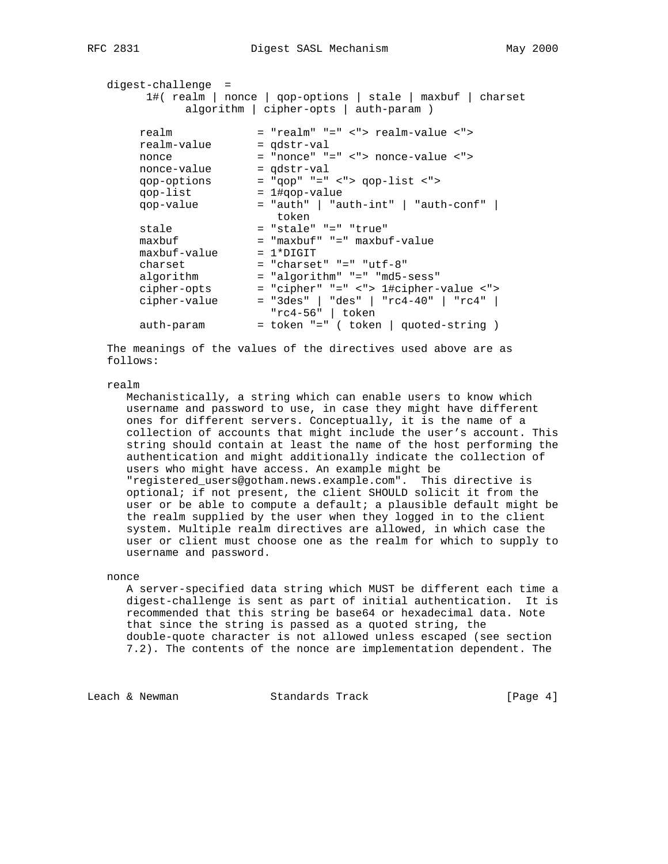| digest-challenge = |                                                                                                      |
|--------------------|------------------------------------------------------------------------------------------------------|
|                    | 1#( realm   nonce   qop-options   stale   maxbuf   charset<br>algorithm   cipher-opts   auth-param ) |
|                    |                                                                                                      |
| realm              | = "realm" "=" <"> realm-value <">                                                                    |
| realm-value        | $=$ $qdstr-val$                                                                                      |
| nonce              | $=$ "nonce" "=" <"> nonce-value <">                                                                  |
| nonce-value        | $=$ $qdstr-val$                                                                                      |
| qop-options        | $=$ "gop" "=" <"> gop-list <">                                                                       |
| qop-list           | $= 1$ #gop-value                                                                                     |
| qop-value          | $=$ "auth"   "auth-int"   "auth-conf"  <br>token                                                     |
| stale              | = "stale" "=" "true"                                                                                 |
| maxbuf             | = "maxbuf" "=" maxbuf-value                                                                          |
| maxbuf-value       | $= 1*DTGIT$                                                                                          |
| charset            | $=$ "charset" " $=$ " "utf-8"                                                                        |
| algorithm          | = "algorithm" "=" "md5-sess"                                                                         |
| cipher-opts        | = "cipher" "=" <"> 1#cipher-value <">                                                                |
| cipher-value       | $=$ "3des"   "des"   "rc4-40"   "rc4"  <br>" $rc4-56"$   token                                       |
| auth-param         | = token "=" ( token   quoted-string )                                                                |
|                    |                                                                                                      |

 The meanings of the values of the directives used above are as follows:

#### realm

 Mechanistically, a string which can enable users to know which username and password to use, in case they might have different ones for different servers. Conceptually, it is the name of a collection of accounts that might include the user's account. This string should contain at least the name of the host performing the authentication and might additionally indicate the collection of users who might have access. An example might be "registered\_users@gotham.news.example.com". This directive is optional; if not present, the client SHOULD solicit it from the user or be able to compute a default; a plausible default might be the realm supplied by the user when they logged in to the client system. Multiple realm directives are allowed, in which case the user or client must choose one as the realm for which to supply to username and password.

## nonce

 A server-specified data string which MUST be different each time a digest-challenge is sent as part of initial authentication. It is recommended that this string be base64 or hexadecimal data. Note that since the string is passed as a quoted string, the double-quote character is not allowed unless escaped (see section 7.2). The contents of the nonce are implementation dependent. The

Leach & Newman Standards Track [Page 4]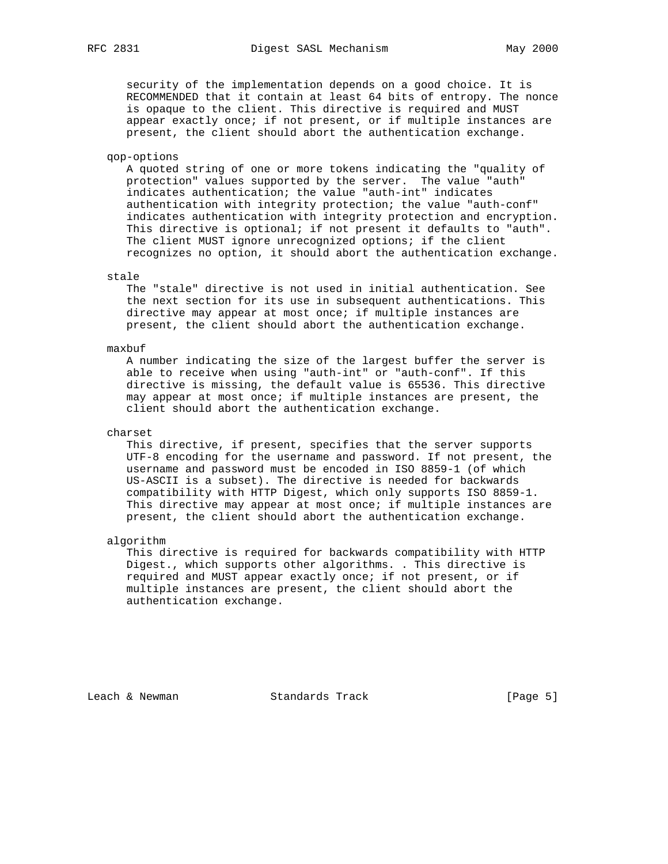security of the implementation depends on a good choice. It is RECOMMENDED that it contain at least 64 bits of entropy. The nonce is opaque to the client. This directive is required and MUST appear exactly once; if not present, or if multiple instances are present, the client should abort the authentication exchange.

### qop-options

 A quoted string of one or more tokens indicating the "quality of protection" values supported by the server. The value "auth" indicates authentication; the value "auth-int" indicates authentication with integrity protection; the value "auth-conf" indicates authentication with integrity protection and encryption. This directive is optional; if not present it defaults to "auth". The client MUST ignore unrecognized options; if the client recognizes no option, it should abort the authentication exchange.

## stale

 The "stale" directive is not used in initial authentication. See the next section for its use in subsequent authentications. This directive may appear at most once; if multiple instances are present, the client should abort the authentication exchange.

### maxbuf

 A number indicating the size of the largest buffer the server is able to receive when using "auth-int" or "auth-conf". If this directive is missing, the default value is 65536. This directive may appear at most once; if multiple instances are present, the client should abort the authentication exchange.

### charset

 This directive, if present, specifies that the server supports UTF-8 encoding for the username and password. If not present, the username and password must be encoded in ISO 8859-1 (of which US-ASCII is a subset). The directive is needed for backwards compatibility with HTTP Digest, which only supports ISO 8859-1. This directive may appear at most once; if multiple instances are present, the client should abort the authentication exchange.

### algorithm

 This directive is required for backwards compatibility with HTTP Digest., which supports other algorithms. . This directive is required and MUST appear exactly once; if not present, or if multiple instances are present, the client should abort the authentication exchange.

Leach & Newman Standards Track [Page 5]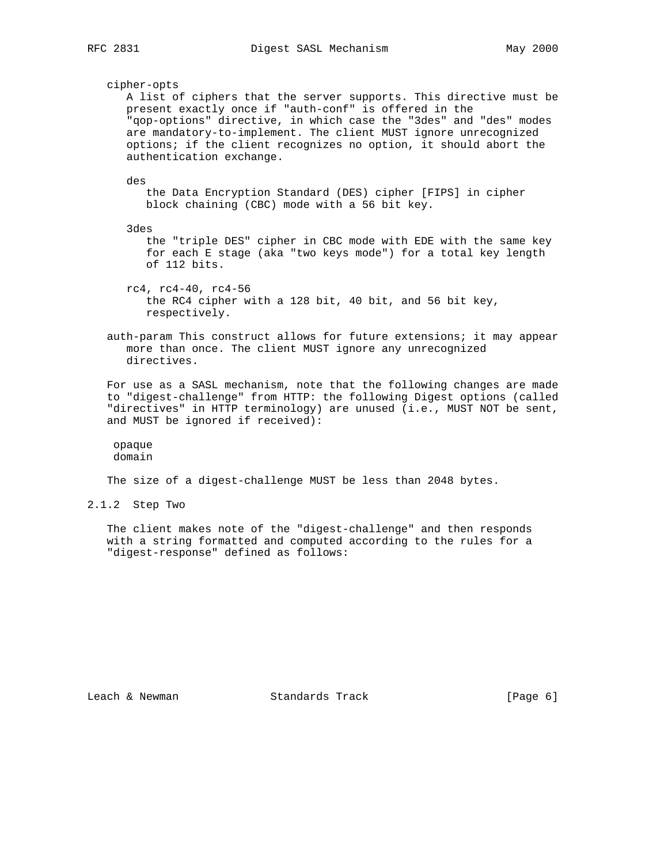cipher-opts A list of ciphers that the server supports. This directive must be present exactly once if "auth-conf" is offered in the "qop-options" directive, in which case the "3des" and "des" modes are mandatory-to-implement. The client MUST ignore unrecognized options; if the client recognizes no option, it should abort the authentication exchange. des the Data Encryption Standard (DES) cipher [FIPS] in cipher block chaining (CBC) mode with a 56 bit key. 3des the "triple DES" cipher in CBC mode with EDE with the same key for each E stage (aka "two keys mode") for a total key length of 112 bits. rc4, rc4-40, rc4-56 the RC4 cipher with a 128 bit, 40 bit, and 56 bit key, respectively. auth-param This construct allows for future extensions; it may appear more than once. The client MUST ignore any unrecognized directives. For use as a SASL mechanism, note that the following changes are made to "digest-challenge" from HTTP: the following Digest options (called "directives" in HTTP terminology) are unused (i.e., MUST NOT be sent,

 opaque domain

and MUST be ignored if received):

The size of a digest-challenge MUST be less than 2048 bytes.

2.1.2 Step Two

 The client makes note of the "digest-challenge" and then responds with a string formatted and computed according to the rules for a "digest-response" defined as follows:

Leach & Newman Standards Track (Page 6)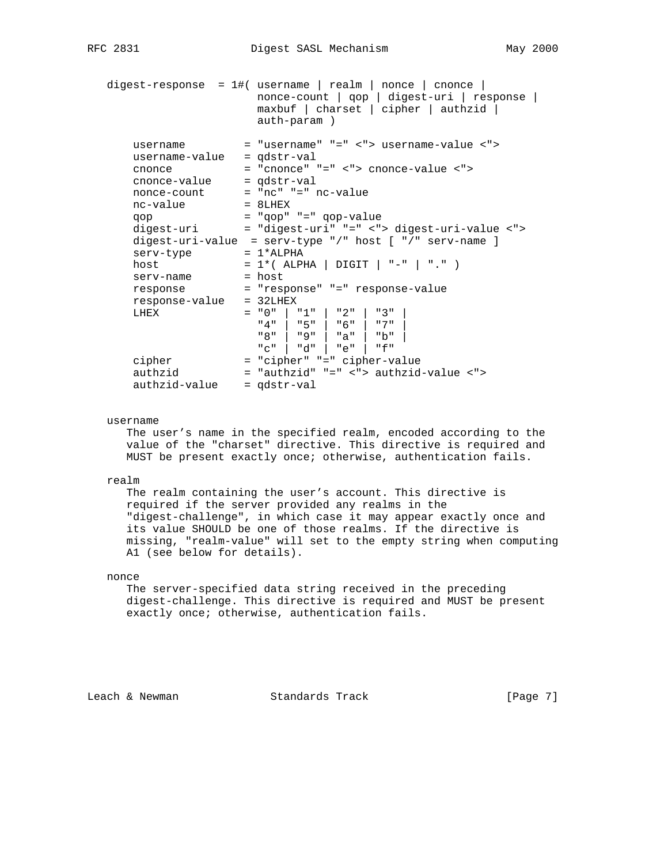```
 digest-response = 1#( username | realm | nonce | cnonce |
 nonce-count | qop | digest-uri | response |
 maxbuf | charset | cipher | authzid |
                       auth-param )
      username = "username" "=" <"> username-value <">
      username-value = qdstr-val
 cnonce = "cnonce" "=" <"> cnonce-value <">
 cnonce-value = qdstr-val
 nonce-count = "nc" "=" nc-value
nc-value = 8LHEX
 qop = "qop" "=" qop-value
 digest-uri = "digest-uri" "=" <"> digest-uri-value <">
     digest-uri-value = serv-type "/" host \lceil "/" serv-name ]
     serv-type = 1*ALPHA<br>host = 1*(ALPF)host = 1*( ALPHA | DIGIT | "-" | "." )
serv-name = host
 response = "response" "=" response-value
      response-value = 32LHEX
     LHEX = "0" | "1" | "2" | "3"<br>
"4" | "5" | "6" | "7"
                      "4" | "5" | "6" |
                       "8" | "9" | "a" | "b" |
                       "c" | "d" | "e" | "f"
     cipher = "cipher" "=" cipher-value<br>authzid = "authzid" "=" <"> authzid
 authzid = "authzid" "=" <"> authzid-value <">
 authzid-value = qdstr-val
```
## username

 The user's name in the specified realm, encoded according to the value of the "charset" directive. This directive is required and MUST be present exactly once; otherwise, authentication fails.

#### realm

 The realm containing the user's account. This directive is required if the server provided any realms in the "digest-challenge", in which case it may appear exactly once and its value SHOULD be one of those realms. If the directive is missing, "realm-value" will set to the empty string when computing A1 (see below for details).

## nonce

 The server-specified data string received in the preceding digest-challenge. This directive is required and MUST be present exactly once; otherwise, authentication fails.

Leach & Newman Standards Track [Page 7]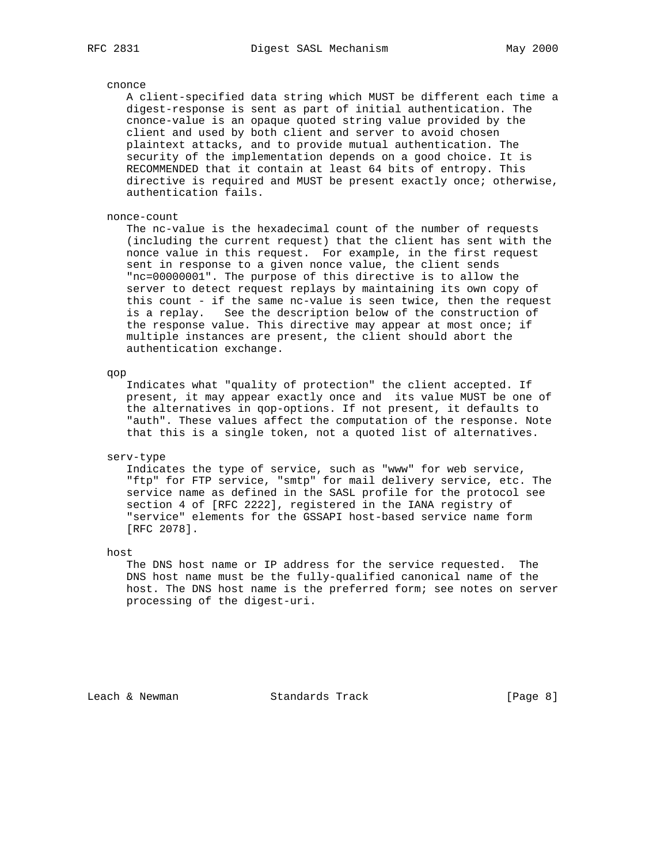#### cnonce

 A client-specified data string which MUST be different each time a digest-response is sent as part of initial authentication. The cnonce-value is an opaque quoted string value provided by the client and used by both client and server to avoid chosen plaintext attacks, and to provide mutual authentication. The security of the implementation depends on a good choice. It is RECOMMENDED that it contain at least 64 bits of entropy. This directive is required and MUST be present exactly once; otherwise, authentication fails.

## nonce-count

 The nc-value is the hexadecimal count of the number of requests (including the current request) that the client has sent with the nonce value in this request. For example, in the first request sent in response to a given nonce value, the client sends "nc=00000001". The purpose of this directive is to allow the server to detect request replays by maintaining its own copy of this count - if the same nc-value is seen twice, then the request is a replay. See the description below of the construction of the response value. This directive may appear at most once; if multiple instances are present, the client should abort the authentication exchange.

qop

 Indicates what "quality of protection" the client accepted. If present, it may appear exactly once and its value MUST be one of the alternatives in qop-options. If not present, it defaults to "auth". These values affect the computation of the response. Note that this is a single token, not a quoted list of alternatives.

#### serv-type

 Indicates the type of service, such as "www" for web service, "ftp" for FTP service, "smtp" for mail delivery service, etc. The service name as defined in the SASL profile for the protocol see section 4 of [RFC 2222], registered in the IANA registry of "service" elements for the GSSAPI host-based service name form [RFC 2078].

host

 The DNS host name or IP address for the service requested. The DNS host name must be the fully-qualified canonical name of the host. The DNS host name is the preferred form; see notes on server processing of the digest-uri.

Leach & Newman Standards Track [Page 8]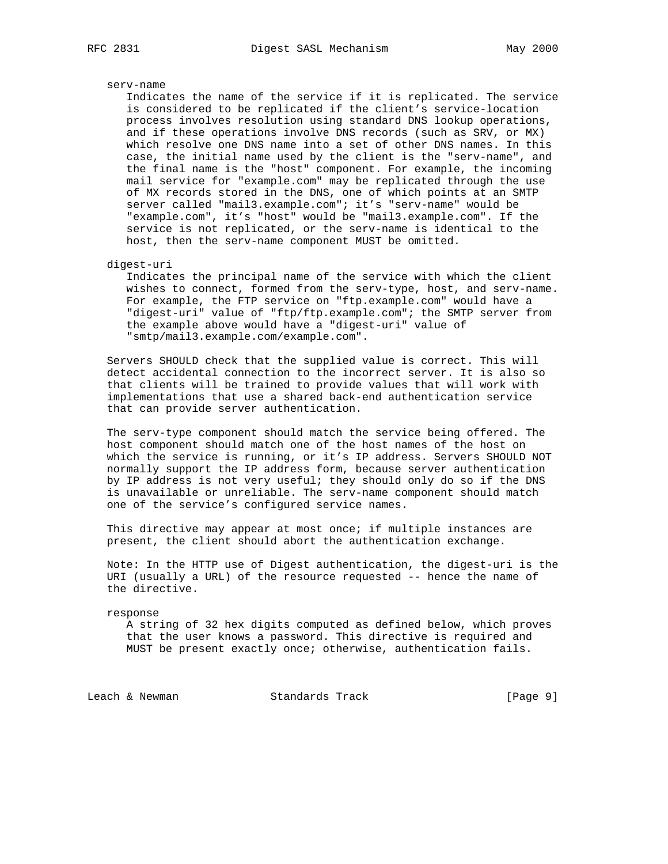#### serv-name

 Indicates the name of the service if it is replicated. The service is considered to be replicated if the client's service-location process involves resolution using standard DNS lookup operations, and if these operations involve DNS records (such as SRV, or MX) which resolve one DNS name into a set of other DNS names. In this case, the initial name used by the client is the "serv-name", and the final name is the "host" component. For example, the incoming mail service for "example.com" may be replicated through the use of MX records stored in the DNS, one of which points at an SMTP server called "mail3.example.com"; it's "serv-name" would be "example.com", it's "host" would be "mail3.example.com". If the service is not replicated, or the serv-name is identical to the host, then the serv-name component MUST be omitted.

## digest-uri

 Indicates the principal name of the service with which the client wishes to connect, formed from the serv-type, host, and serv-name. For example, the FTP service on "ftp.example.com" would have a "digest-uri" value of "ftp/ftp.example.com"; the SMTP server from the example above would have a "digest-uri" value of "smtp/mail3.example.com/example.com".

 Servers SHOULD check that the supplied value is correct. This will detect accidental connection to the incorrect server. It is also so that clients will be trained to provide values that will work with implementations that use a shared back-end authentication service that can provide server authentication.

 The serv-type component should match the service being offered. The host component should match one of the host names of the host on which the service is running, or it's IP address. Servers SHOULD NOT normally support the IP address form, because server authentication by IP address is not very useful; they should only do so if the DNS is unavailable or unreliable. The serv-name component should match one of the service's configured service names.

 This directive may appear at most once; if multiple instances are present, the client should abort the authentication exchange.

 Note: In the HTTP use of Digest authentication, the digest-uri is the URI (usually a URL) of the resource requested -- hence the name of the directive.

response

 A string of 32 hex digits computed as defined below, which proves that the user knows a password. This directive is required and MUST be present exactly once; otherwise, authentication fails.

Leach & Newman Standards Track [Page 9]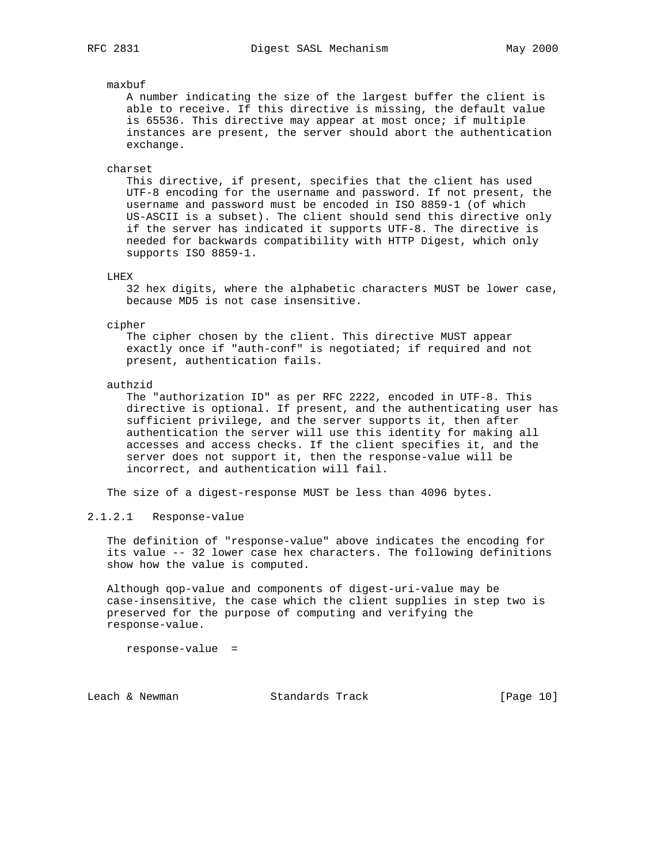### maxbuf

 A number indicating the size of the largest buffer the client is able to receive. If this directive is missing, the default value is 65536. This directive may appear at most once; if multiple instances are present, the server should abort the authentication exchange.

#### charset

 This directive, if present, specifies that the client has used UTF-8 encoding for the username and password. If not present, the username and password must be encoded in ISO 8859-1 (of which US-ASCII is a subset). The client should send this directive only if the server has indicated it supports UTF-8. The directive is needed for backwards compatibility with HTTP Digest, which only supports ISO 8859-1.

## LHEX

 32 hex digits, where the alphabetic characters MUST be lower case, because MD5 is not case insensitive.

#### cipher

 The cipher chosen by the client. This directive MUST appear exactly once if "auth-conf" is negotiated; if required and not present, authentication fails.

#### authzid

 The "authorization ID" as per RFC 2222, encoded in UTF-8. This directive is optional. If present, and the authenticating user has sufficient privilege, and the server supports it, then after authentication the server will use this identity for making all accesses and access checks. If the client specifies it, and the server does not support it, then the response-value will be incorrect, and authentication will fail.

The size of a digest-response MUST be less than 4096 bytes.

## 2.1.2.1 Response-value

 The definition of "response-value" above indicates the encoding for its value -- 32 lower case hex characters. The following definitions show how the value is computed.

 Although qop-value and components of digest-uri-value may be case-insensitive, the case which the client supplies in step two is preserved for the purpose of computing and verifying the response-value.

response-value =

Leach & Newman Standards Track [Page 10]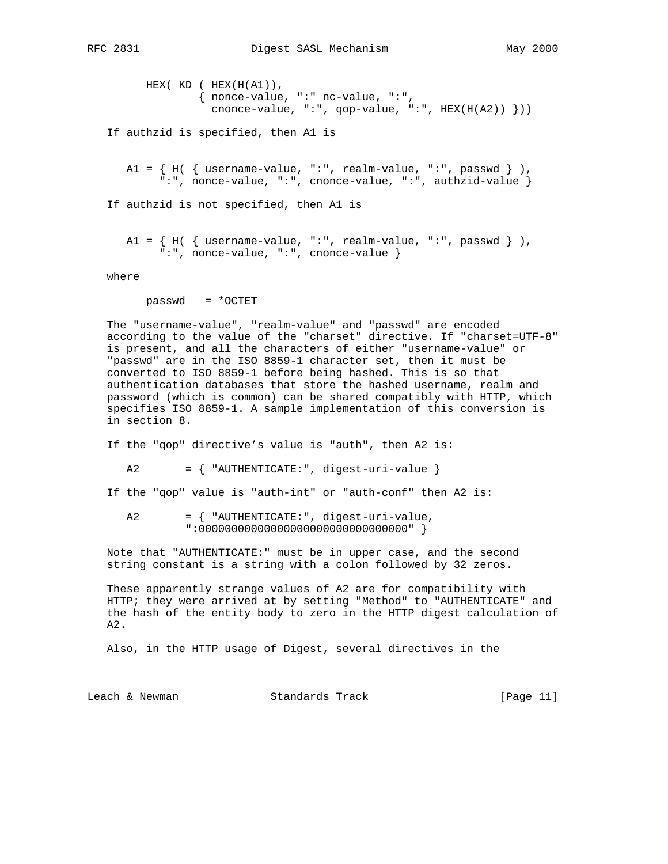```
HEX(KD ( HEX(H(A1)),
               { nonce-value, ":" nc-value, ":",
                cnonce-value, ":", qop-value, ":", HEX(H(A2)) }))
 If authzid is specified, then A1 is
   A1 = \{H(\ \{username-value, "::", realm-value, "::", passwd \} \} ":", nonce-value, ":", cnonce-value, ":", authzid-value }
 If authzid is not specified, then A1 is
  A1 = \{H(\ \{username-value, "::", realm-value, "::", passwd \} \}) ":", nonce-value, ":", cnonce-value }
```
where

passwd = \*OCTET

 The "username-value", "realm-value" and "passwd" are encoded according to the value of the "charset" directive. If "charset=UTF-8" is present, and all the characters of either "username-value" or "passwd" are in the ISO 8859-1 character set, then it must be converted to ISO 8859-1 before being hashed. This is so that authentication databases that store the hashed username, realm and password (which is common) can be shared compatibly with HTTP, which specifies ISO 8859-1. A sample implementation of this conversion is in section 8.

If the "qop" directive's value is "auth", then A2 is:

A2 = { "AUTHENTICATE:", digest-uri-value }

- If the "qop" value is "auth-int" or "auth-conf" then A2 is:
	- A2 = { "AUTHENTICATE:", digest-uri-value, ":00000000000000000000000000000000" }

 Note that "AUTHENTICATE:" must be in upper case, and the second string constant is a string with a colon followed by 32 zeros.

 These apparently strange values of A2 are for compatibility with HTTP; they were arrived at by setting "Method" to "AUTHENTICATE" and the hash of the entity body to zero in the HTTP digest calculation of A2.

Also, in the HTTP usage of Digest, several directives in the

| Leach & Newman<br>Standards Track | [Page 11] |  |  |
|-----------------------------------|-----------|--|--|
|-----------------------------------|-----------|--|--|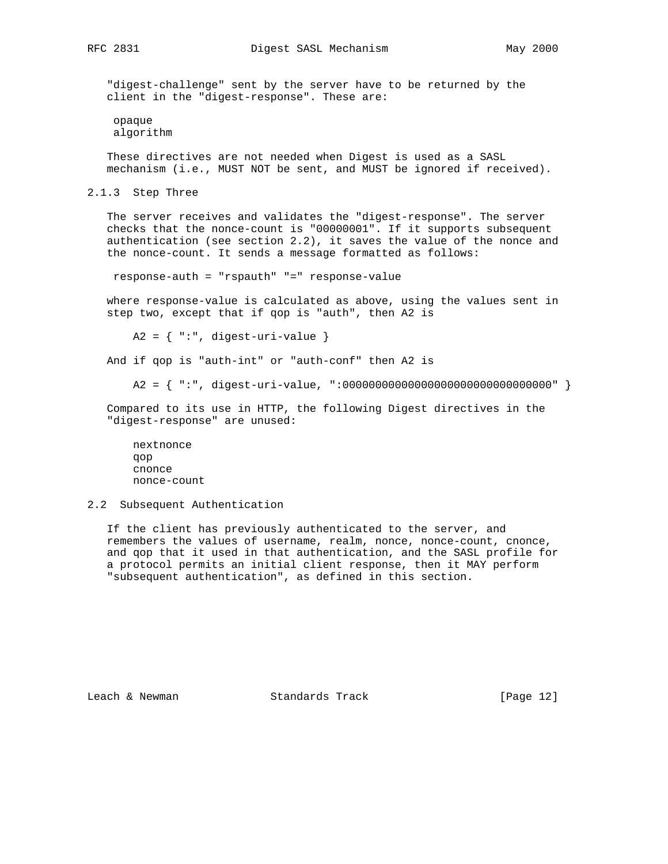"digest-challenge" sent by the server have to be returned by the client in the "digest-response". These are:

 opaque algorithm

 These directives are not needed when Digest is used as a SASL mechanism (i.e., MUST NOT be sent, and MUST be ignored if received).

2.1.3 Step Three

 The server receives and validates the "digest-response". The server checks that the nonce-count is "00000001". If it supports subsequent authentication (see section 2.2), it saves the value of the nonce and the nonce-count. It sends a message formatted as follows:

response-auth = "rspauth" "=" response-value

 where response-value is calculated as above, using the values sent in step two, except that if qop is "auth", then A2 is

 $A2 = \{ "::", \text{ digest-uri-value} \}$ 

And if qop is "auth-int" or "auth-conf" then A2 is

A2 = { ":", digest-uri-value, ":00000000000000000000000000000000" }

 Compared to its use in HTTP, the following Digest directives in the "digest-response" are unused:

 nextnonce qop cnonce nonce-count

2.2 Subsequent Authentication

 If the client has previously authenticated to the server, and remembers the values of username, realm, nonce, nonce-count, cnonce, and qop that it used in that authentication, and the SASL profile for a protocol permits an initial client response, then it MAY perform "subsequent authentication", as defined in this section.

Leach & Newman Standards Track [Page 12]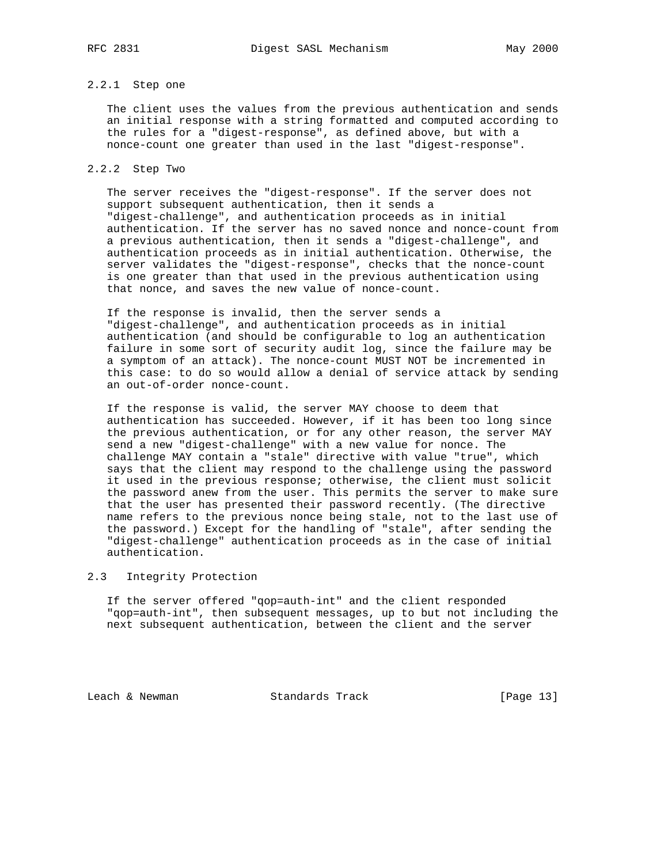# 2.2.1 Step one

 The client uses the values from the previous authentication and sends an initial response with a string formatted and computed according to the rules for a "digest-response", as defined above, but with a nonce-count one greater than used in the last "digest-response".

## 2.2.2 Step Two

 The server receives the "digest-response". If the server does not support subsequent authentication, then it sends a "digest-challenge", and authentication proceeds as in initial authentication. If the server has no saved nonce and nonce-count from a previous authentication, then it sends a "digest-challenge", and authentication proceeds as in initial authentication. Otherwise, the server validates the "digest-response", checks that the nonce-count is one greater than that used in the previous authentication using that nonce, and saves the new value of nonce-count.

 If the response is invalid, then the server sends a "digest-challenge", and authentication proceeds as in initial authentication (and should be configurable to log an authentication failure in some sort of security audit log, since the failure may be a symptom of an attack). The nonce-count MUST NOT be incremented in this case: to do so would allow a denial of service attack by sending an out-of-order nonce-count.

 If the response is valid, the server MAY choose to deem that authentication has succeeded. However, if it has been too long since the previous authentication, or for any other reason, the server MAY send a new "digest-challenge" with a new value for nonce. The challenge MAY contain a "stale" directive with value "true", which says that the client may respond to the challenge using the password it used in the previous response; otherwise, the client must solicit the password anew from the user. This permits the server to make sure that the user has presented their password recently. (The directive name refers to the previous nonce being stale, not to the last use of the password.) Except for the handling of "stale", after sending the "digest-challenge" authentication proceeds as in the case of initial authentication.

## 2.3 Integrity Protection

 If the server offered "qop=auth-int" and the client responded "qop=auth-int", then subsequent messages, up to but not including the next subsequent authentication, between the client and the server

Leach & Newman Standards Track [Page 13]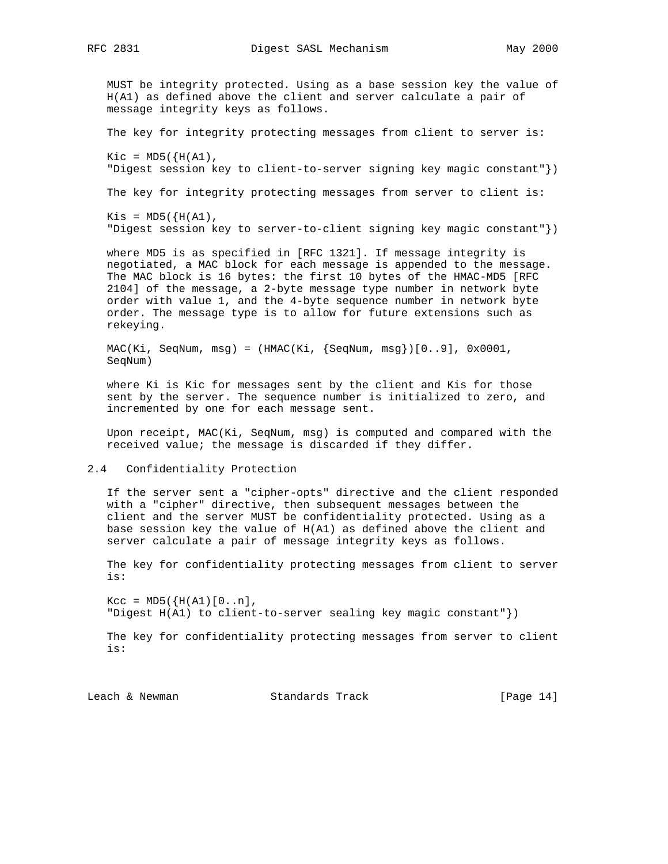MUST be integrity protected. Using as a base session key the value of H(A1) as defined above the client and server calculate a pair of message integrity keys as follows.

The key for integrity protecting messages from client to server is:

 $Kic = MD5({H(A1)},$ "Digest session key to client-to-server signing key magic constant"})

The key for integrity protecting messages from server to client is:

 $Kis = MD5({H(A1)},$ "Digest session key to server-to-client signing key magic constant"})

 where MD5 is as specified in [RFC 1321]. If message integrity is negotiated, a MAC block for each message is appended to the message. The MAC block is 16 bytes: the first 10 bytes of the HMAC-MD5 [RFC 2104] of the message, a 2-byte message type number in network byte order with value 1, and the 4-byte sequence number in network byte order. The message type is to allow for future extensions such as rekeying.

 $MAC(Ki, SegNum, msg) = (HMAC(Ki, {SeqNum, msg})[0..9], 0x0001,$ SeqNum)

 where Ki is Kic for messages sent by the client and Kis for those sent by the server. The sequence number is initialized to zero, and incremented by one for each message sent.

 Upon receipt, MAC(Ki, SeqNum, msg) is computed and compared with the received value; the message is discarded if they differ.

2.4 Confidentiality Protection

 If the server sent a "cipher-opts" directive and the client responded with a "cipher" directive, then subsequent messages between the client and the server MUST be confidentiality protected. Using as a base session key the value of H(A1) as defined above the client and server calculate a pair of message integrity keys as follows.

 The key for confidentiality protecting messages from client to server is:

 $Kcc = MD5({H(A1) [0..n]},$ "Digest H(A1) to client-to-server sealing key magic constant"})

 The key for confidentiality protecting messages from server to client is:

Leach & Newman Standards Track [Page 14]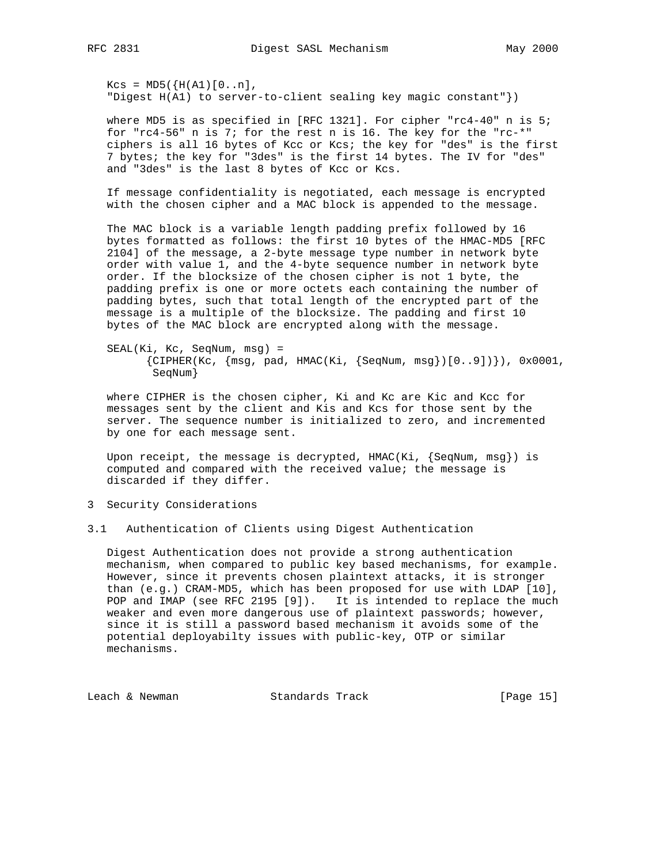$Kcs = MD5({H(A1) [0..n]},$ "Digest H(A1) to server-to-client sealing key magic constant"})

 where MD5 is as specified in [RFC 1321]. For cipher "rc4-40" n is 5; for "rc4-56" n is 7; for the rest n is 16. The key for the "rc-\*" ciphers is all 16 bytes of Kcc or Kcs; the key for "des" is the first 7 bytes; the key for "3des" is the first 14 bytes. The IV for "des" and "3des" is the last 8 bytes of Kcc or Kcs.

 If message confidentiality is negotiated, each message is encrypted with the chosen cipher and a MAC block is appended to the message.

 The MAC block is a variable length padding prefix followed by 16 bytes formatted as follows: the first 10 bytes of the HMAC-MD5 [RFC 2104] of the message, a 2-byte message type number in network byte order with value 1, and the 4-byte sequence number in network byte order. If the blocksize of the chosen cipher is not 1 byte, the padding prefix is one or more octets each containing the number of padding bytes, such that total length of the encrypted part of the message is a multiple of the blocksize. The padding and first 10 bytes of the MAC block are encrypted along with the message.

 SEAL(Ki, Kc, SeqNum, msg) =  ${CIPHER(Kc, {msg, pad, HMAC(Ki, {SeqNum, msg}}([0..9]))},$ , 0x0001, SeqNum}

 where CIPHER is the chosen cipher, Ki and Kc are Kic and Kcc for messages sent by the client and Kis and Kcs for those sent by the server. The sequence number is initialized to zero, and incremented by one for each message sent.

Upon receipt, the message is decrypted,  $HMAC(Ki, \{SeqNum, msg\})$  is computed and compared with the received value; the message is discarded if they differ.

3 Security Considerations

3.1 Authentication of Clients using Digest Authentication

 Digest Authentication does not provide a strong authentication mechanism, when compared to public key based mechanisms, for example. However, since it prevents chosen plaintext attacks, it is stronger than (e.g.) CRAM-MD5, which has been proposed for use with LDAP [10], POP and IMAP (see RFC 2195 [9]). It is intended to replace the much weaker and even more dangerous use of plaintext passwords; however, since it is still a password based mechanism it avoids some of the potential deployabilty issues with public-key, OTP or similar mechanisms.

Leach & Newman Standards Track [Page 15]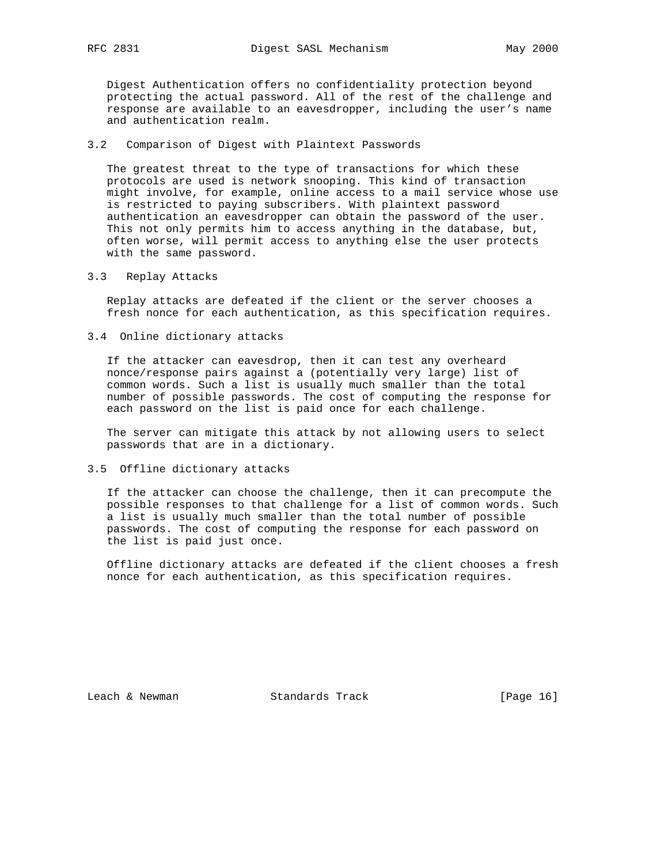Digest Authentication offers no confidentiality protection beyond protecting the actual password. All of the rest of the challenge and response are available to an eavesdropper, including the user's name and authentication realm.

3.2 Comparison of Digest with Plaintext Passwords

 The greatest threat to the type of transactions for which these protocols are used is network snooping. This kind of transaction might involve, for example, online access to a mail service whose use is restricted to paying subscribers. With plaintext password authentication an eavesdropper can obtain the password of the user. This not only permits him to access anything in the database, but, often worse, will permit access to anything else the user protects with the same password.

3.3 Replay Attacks

 Replay attacks are defeated if the client or the server chooses a fresh nonce for each authentication, as this specification requires.

3.4 Online dictionary attacks

 If the attacker can eavesdrop, then it can test any overheard nonce/response pairs against a (potentially very large) list of common words. Such a list is usually much smaller than the total number of possible passwords. The cost of computing the response for each password on the list is paid once for each challenge.

 The server can mitigate this attack by not allowing users to select passwords that are in a dictionary.

3.5 Offline dictionary attacks

 If the attacker can choose the challenge, then it can precompute the possible responses to that challenge for a list of common words. Such a list is usually much smaller than the total number of possible passwords. The cost of computing the response for each password on the list is paid just once.

 Offline dictionary attacks are defeated if the client chooses a fresh nonce for each authentication, as this specification requires.

Leach & Newman Standards Track [Page 16]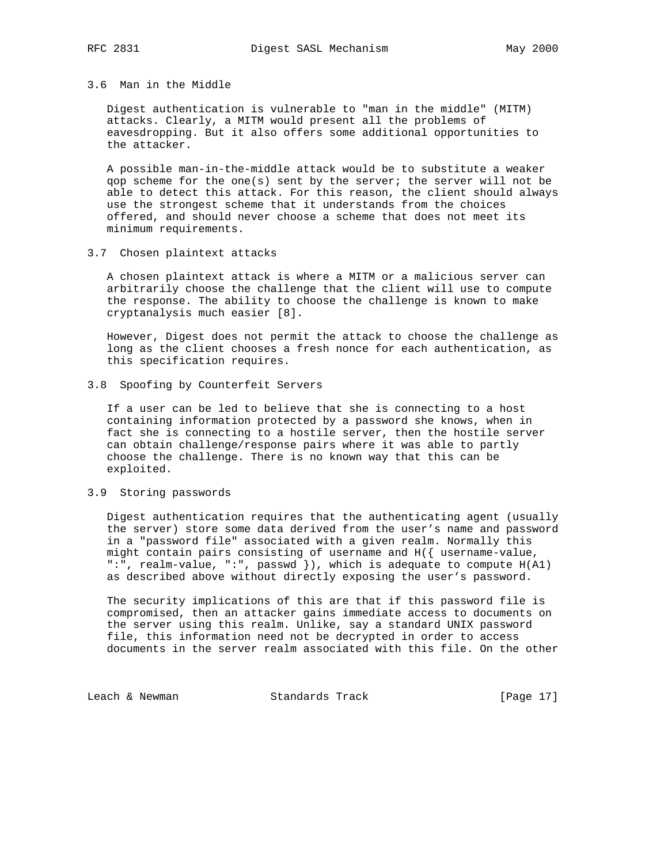## 3.6 Man in the Middle

 Digest authentication is vulnerable to "man in the middle" (MITM) attacks. Clearly, a MITM would present all the problems of eavesdropping. But it also offers some additional opportunities to the attacker.

 A possible man-in-the-middle attack would be to substitute a weaker qop scheme for the one(s) sent by the server; the server will not be able to detect this attack. For this reason, the client should always use the strongest scheme that it understands from the choices offered, and should never choose a scheme that does not meet its minimum requirements.

3.7 Chosen plaintext attacks

 A chosen plaintext attack is where a MITM or a malicious server can arbitrarily choose the challenge that the client will use to compute the response. The ability to choose the challenge is known to make cryptanalysis much easier [8].

 However, Digest does not permit the attack to choose the challenge as long as the client chooses a fresh nonce for each authentication, as this specification requires.

3.8 Spoofing by Counterfeit Servers

 If a user can be led to believe that she is connecting to a host containing information protected by a password she knows, when in fact she is connecting to a hostile server, then the hostile server can obtain challenge/response pairs where it was able to partly choose the challenge. There is no known way that this can be exploited.

## 3.9 Storing passwords

 Digest authentication requires that the authenticating agent (usually the server) store some data derived from the user's name and password in a "password file" associated with a given realm. Normally this might contain pairs consisting of username and H({ username-value, ":", realm-value, ":", passwd }), which is adequate to compute H(A1) as described above without directly exposing the user's password.

 The security implications of this are that if this password file is compromised, then an attacker gains immediate access to documents on the server using this realm. Unlike, say a standard UNIX password file, this information need not be decrypted in order to access documents in the server realm associated with this file. On the other

Leach & Newman Standards Track [Page 17]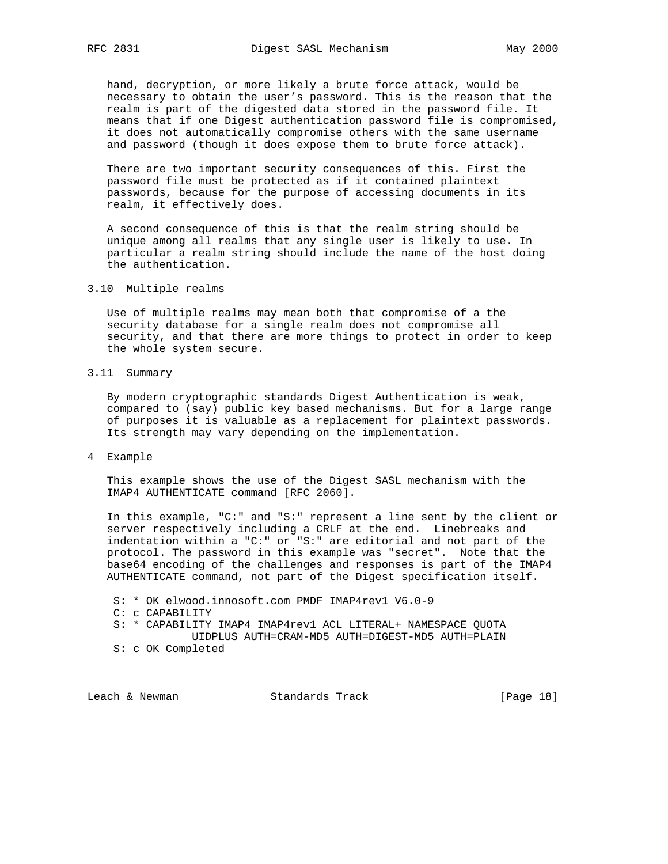hand, decryption, or more likely a brute force attack, would be necessary to obtain the user's password. This is the reason that the realm is part of the digested data stored in the password file. It means that if one Digest authentication password file is compromised, it does not automatically compromise others with the same username and password (though it does expose them to brute force attack).

 There are two important security consequences of this. First the password file must be protected as if it contained plaintext passwords, because for the purpose of accessing documents in its realm, it effectively does.

 A second consequence of this is that the realm string should be unique among all realms that any single user is likely to use. In particular a realm string should include the name of the host doing the authentication.

## 3.10 Multiple realms

 Use of multiple realms may mean both that compromise of a the security database for a single realm does not compromise all security, and that there are more things to protect in order to keep the whole system secure.

3.11 Summary

 By modern cryptographic standards Digest Authentication is weak, compared to (say) public key based mechanisms. But for a large range of purposes it is valuable as a replacement for plaintext passwords. Its strength may vary depending on the implementation.

4 Example

 This example shows the use of the Digest SASL mechanism with the IMAP4 AUTHENTICATE command [RFC 2060].

 In this example, "C:" and "S:" represent a line sent by the client or server respectively including a CRLF at the end. Linebreaks and indentation within a "C:" or "S:" are editorial and not part of the protocol. The password in this example was "secret". Note that the base64 encoding of the challenges and responses is part of the IMAP4 AUTHENTICATE command, not part of the Digest specification itself.

S: \* OK elwood.innosoft.com PMDF IMAP4rev1 V6.0-9

C: c CAPABILITY

 S: \* CAPABILITY IMAP4 IMAP4rev1 ACL LITERAL+ NAMESPACE QUOTA UIDPLUS AUTH=CRAM-MD5 AUTH=DIGEST-MD5 AUTH=PLAIN

S: c OK Completed

Leach & Newman Standards Track [Page 18]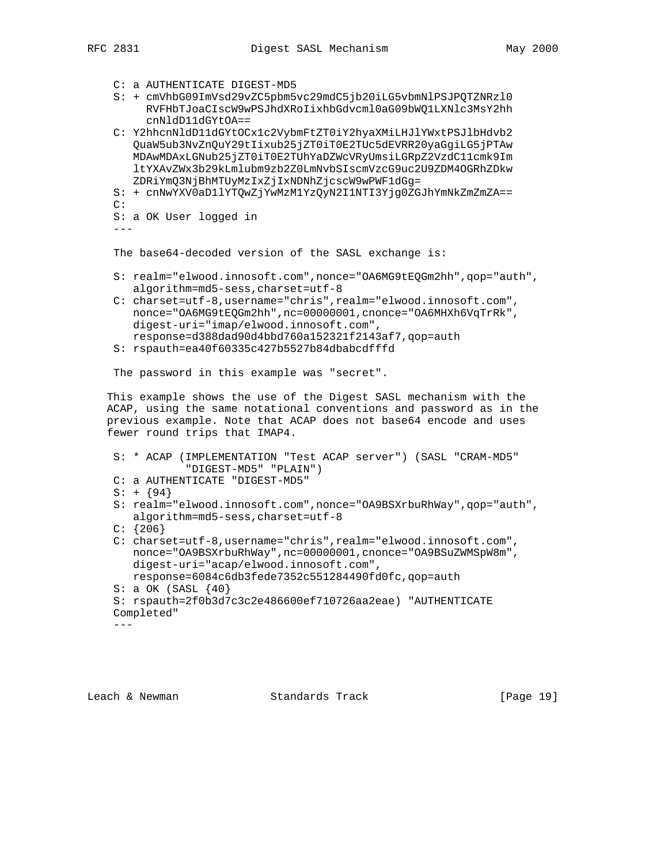- C: a AUTHENTICATE DIGEST-MD5
- S: + cmVhbG09ImVsd29vZC5pbm5vc29mdC5jb20iLG5vbmNlPSJPQTZNRzl0 RVFHbTJoaCIscW9wPSJhdXRoIixhbGdvcml0aG09bWQ1LXNlc3MsY2hh cnNldD11dGYtOA==
- C: Y2hhcnNldD11dGYtOCx1c2VybmFtZT0iY2hyaXMiLHJlYWxtPSJlbHdvb2 QuaW5ub3NvZnQuY29tIixub25jZT0iT0E2TUc5dEVRR20yaGgiLG5jPTAw MDAwMDAxLGNub25jZT0iT0E2TUhYaDZWcVRyUmsiLGRpZ2VzdC11cmk9Im ltYXAvZWx3b29kLmlubm9zb2Z0LmNvbSIscmVzcG9uc2U9ZDM4OGRhZDkw ZDRiYmQ3NjBhMTUyMzIxZjIxNDNhZjcscW9wPWF1dGg=
- S: + cnNwYXV0aD1lYTQwZjYwMzM1YzQyN2I1NTI3Yjg0ZGJhYmNkZmZmZA==  $C:$

```
 S: a OK User logged in
```

```
 ---
```
The base64-decoded version of the SASL exchange is:

- S: realm="elwood.innosoft.com",nonce="OA6MG9tEQGm2hh",qop="auth", algorithm=md5-sess,charset=utf-8
- C: charset=utf-8,username="chris",realm="elwood.innosoft.com", nonce="OA6MG9tEQGm2hh",nc=00000001,cnonce="OA6MHXh6VqTrRk", digest-uri="imap/elwood.innosoft.com", response=d388dad90d4bbd760a152321f2143af7,qop=auth
- S: rspauth=ea40f60335c427b5527b84dbabcdfffd

The password in this example was "secret".

 This example shows the use of the Digest SASL mechanism with the ACAP, using the same notational conventions and password as in the previous example. Note that ACAP does not base64 encode and uses fewer round trips that IMAP4.

```
 S: * ACAP (IMPLEMENTATION "Test ACAP server") (SASL "CRAM-MD5"
            "DIGEST-MD5" "PLAIN")
 C: a AUTHENTICATE "DIGEST-MD5"
S: + \{94\} S: realm="elwood.innosoft.com",nonce="OA9BSXrbuRhWay",qop="auth",
    algorithm=md5-sess,charset=utf-8
C: \{206\} C: charset=utf-8,username="chris",realm="elwood.innosoft.com",
   nonce="OA9BSXrbuRhWay",nc=00000001,cnonce="OA9BSuZWMSpW8m",
   digest-uri="acap/elwood.innosoft.com",
   response=6084c6db3fede7352c551284490fd0fc,qop=auth
 S: a OK (SASL {40}
 S: rspauth=2f0b3d7c3c2e486600ef710726aa2eae) "AUTHENTICATE
 Completed"
```
---

Leach & Newman Standards Track [Page 19]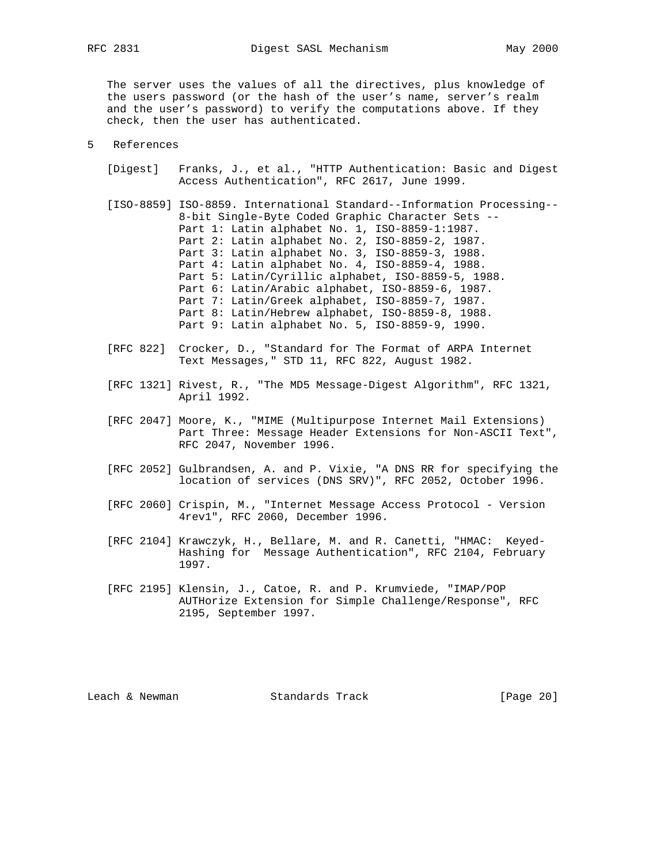The server uses the values of all the directives, plus knowledge of the users password (or the hash of the user's name, server's realm and the user's password) to verify the computations above. If they check, then the user has authenticated.

## 5 References

- [Digest] Franks, J., et al., "HTTP Authentication: Basic and Digest Access Authentication", RFC 2617, June 1999.
- [ISO-8859] ISO-8859. International Standard--Information Processing-- 8-bit Single-Byte Coded Graphic Character Sets -- Part 1: Latin alphabet No. 1, ISO-8859-1:1987. Part 2: Latin alphabet No. 2, ISO-8859-2, 1987. Part 3: Latin alphabet No. 3, ISO-8859-3, 1988. Part 4: Latin alphabet No. 4, ISO-8859-4, 1988. Part 5: Latin/Cyrillic alphabet, ISO-8859-5, 1988. Part 6: Latin/Arabic alphabet, ISO-8859-6, 1987. Part 7: Latin/Greek alphabet, ISO-8859-7, 1987. Part 8: Latin/Hebrew alphabet, ISO-8859-8, 1988. Part 9: Latin alphabet No. 5, ISO-8859-9, 1990.
- [RFC 822] Crocker, D., "Standard for The Format of ARPA Internet Text Messages," STD 11, RFC 822, August 1982.
- [RFC 1321] Rivest, R., "The MD5 Message-Digest Algorithm", RFC 1321, April 1992.
- [RFC 2047] Moore, K., "MIME (Multipurpose Internet Mail Extensions) Part Three: Message Header Extensions for Non-ASCII Text", RFC 2047, November 1996.
- [RFC 2052] Gulbrandsen, A. and P. Vixie, "A DNS RR for specifying the location of services (DNS SRV)", RFC 2052, October 1996.
- [RFC 2060] Crispin, M., "Internet Message Access Protocol Version 4rev1", RFC 2060, December 1996.
- [RFC 2104] Krawczyk, H., Bellare, M. and R. Canetti, "HMAC: Keyed- Hashing for Message Authentication", RFC 2104, February 1997.
- [RFC 2195] Klensin, J., Catoe, R. and P. Krumviede, "IMAP/POP AUTHorize Extension for Simple Challenge/Response", RFC 2195, September 1997.

Leach & Newman Standards Track [Page 20]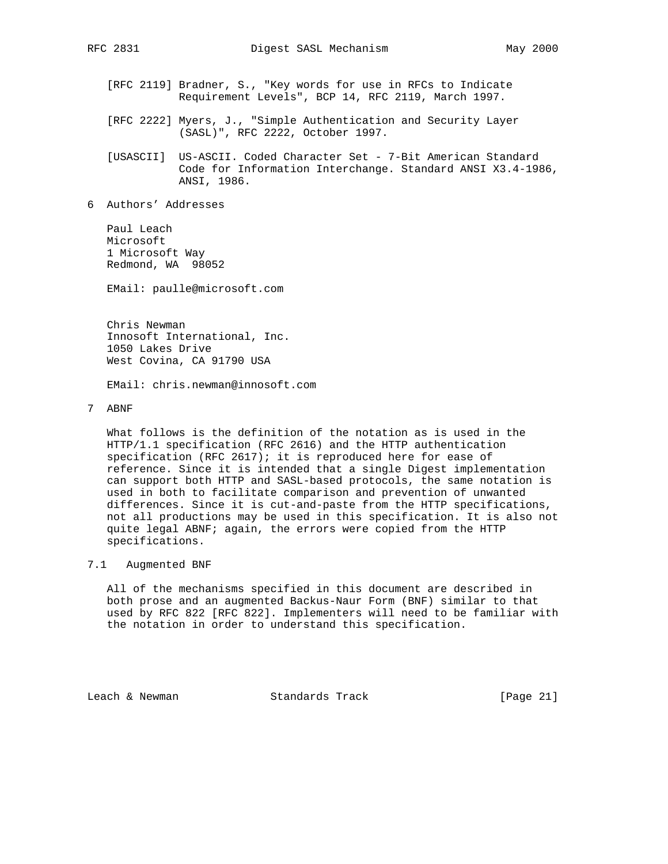- [RFC 2119] Bradner, S., "Key words for use in RFCs to Indicate Requirement Levels", BCP 14, RFC 2119, March 1997.
- [RFC 2222] Myers, J., "Simple Authentication and Security Layer (SASL)", RFC 2222, October 1997.

 [USASCII] US-ASCII. Coded Character Set - 7-Bit American Standard Code for Information Interchange. Standard ANSI X3.4-1986, ANSI, 1986.

6 Authors' Addresses

 Paul Leach Microsoft 1 Microsoft Way Redmond, WA 98052

EMail: paulle@microsoft.com

 Chris Newman Innosoft International, Inc. 1050 Lakes Drive West Covina, CA 91790 USA

EMail: chris.newman@innosoft.com

7 ABNF

 What follows is the definition of the notation as is used in the HTTP/1.1 specification (RFC 2616) and the HTTP authentication specification (RFC 2617); it is reproduced here for ease of reference. Since it is intended that a single Digest implementation can support both HTTP and SASL-based protocols, the same notation is used in both to facilitate comparison and prevention of unwanted differences. Since it is cut-and-paste from the HTTP specifications, not all productions may be used in this specification. It is also not quite legal ABNF; again, the errors were copied from the HTTP specifications.

## 7.1 Augmented BNF

 All of the mechanisms specified in this document are described in both prose and an augmented Backus-Naur Form (BNF) similar to that used by RFC 822 [RFC 822]. Implementers will need to be familiar with the notation in order to understand this specification.

Leach & Newman Standards Track [Page 21]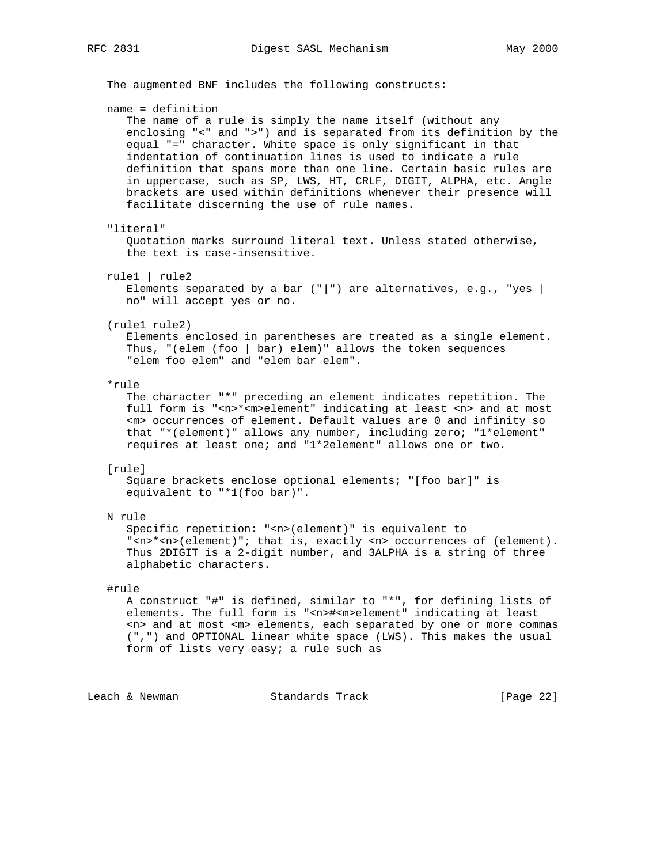The augmented BNF includes the following constructs: name = definition The name of a rule is simply the name itself (without any enclosing "<" and ">") and is separated from its definition by the equal "=" character. White space is only significant in that indentation of continuation lines is used to indicate a rule definition that spans more than one line. Certain basic rules are in uppercase, such as SP, LWS, HT, CRLF, DIGIT, ALPHA, etc. Angle brackets are used within definitions whenever their presence will facilitate discerning the use of rule names. "literal" Quotation marks surround literal text. Unless stated otherwise, the text is case-insensitive. rule1 | rule2 Elements separated by a bar ("|") are alternatives, e.g., "yes | no" will accept yes or no. (rule1 rule2) Elements enclosed in parentheses are treated as a single element. Thus, "(elem (foo | bar) elem)" allows the token sequences "elem foo elem" and "elem bar elem". \*rule The character "\*" preceding an element indicates repetition. The full form is "<n>\*<m>element" indicating at least <n> and at most <m> occurrences of element. Default values are 0 and infinity so that "\*(element)" allows any number, including zero; "1\*element" requires at least one; and "1\*2element" allows one or two. [rule] Square brackets enclose optional elements; "[foo bar]" is equivalent to "\*1(foo bar)". N rule Specific repetition: "<n>(element)" is equivalent to "<n>\*<n>(element)"; that is, exactly <n> occurrences of (element). Thus 2DIGIT is a 2-digit number, and 3ALPHA is a string of three alphabetic characters. #rule A construct "#" is defined, similar to "\*", for defining lists of elements. The full form is "<n>#<m>element" indicating at least <n> and at most <m> elements, each separated by one or more commas (",") and OPTIONAL linear white space (LWS). This makes the usual form of lists very easy; a rule such as

Leach & Newman Standards Track [Page 22]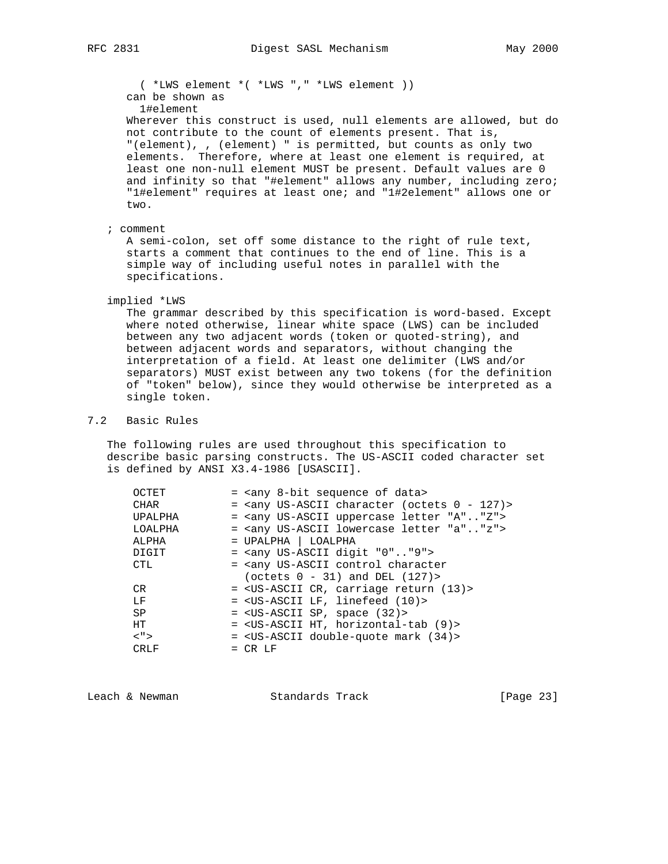( \*LWS element \*( \*LWS "," \*LWS element )) can be shown as 1#element Wherever this construct is used, null elements are allowed, but do not contribute to the count of elements present. That is, "(element), , (element) " is permitted, but counts as only two

 elements. Therefore, where at least one element is required, at least one non-null element MUST be present. Default values are 0 and infinity so that "#element" allows any number, including zero; "1#element" requires at least one; and "1#2element" allows one or two.

; comment

 A semi-colon, set off some distance to the right of rule text, starts a comment that continues to the end of line. This is a simple way of including useful notes in parallel with the specifications.

## implied \*LWS

 The grammar described by this specification is word-based. Except where noted otherwise, linear white space (LWS) can be included between any two adjacent words (token or quoted-string), and between adjacent words and separators, without changing the interpretation of a field. At least one delimiter (LWS and/or separators) MUST exist between any two tokens (for the definition of "token" below), since they would otherwise be interpreted as a single token.

# 7.2 Basic Rules

 The following rules are used throughout this specification to describe basic parsing constructs. The US-ASCII coded character set is defined by ANSI X3.4-1986 [USASCII].

| OCTET       | = <any 8-bit="" data="" of="" sequence=""></any>                         |
|-------------|--------------------------------------------------------------------------|
| <b>CHAR</b> | $=$ <any (octets="" <math="" character="" us-ascii="">0 - 127)&gt;</any> |
| UPALPHA     | = <any "a""z"="" letter="" uppercase="" us-ascii=""></any>               |
| LOALPHA     | = <any "a""z"="" letter="" lowercase="" us-ascii=""></any>               |
| ALPHA       | $=$ UPALPHA $ $ LOALPHA                                                  |
| DIGIT       | $=$ <any "0""9"="" digit="" us-ascii=""></any>                           |
| <b>CTL</b>  | = <any character<="" control="" td="" us-ascii=""></any>                 |
|             | (octets $0 - 31$ ) and DEL $(127)$                                       |
| CR.         | = < US-ASCII CR, carriage return (13) >                                  |
| LF          | = <us-ascii (10)="" lf,="" linefeed=""></us-ascii>                       |
| SP          | $=$ <us-ascii <math="" sp,="" space="">(32)&gt;</us-ascii>               |
| HT.         | = < US-ASCII HT, horizontal-tab (9)>                                     |
| $<$ ">      | $=$ <us-ascii <math="" double-quote="" mark="">(34)&gt;</us-ascii>       |
| CRLF        | $= CR LF$                                                                |
|             |                                                                          |

Leach & Newman Standards Track [Page 23]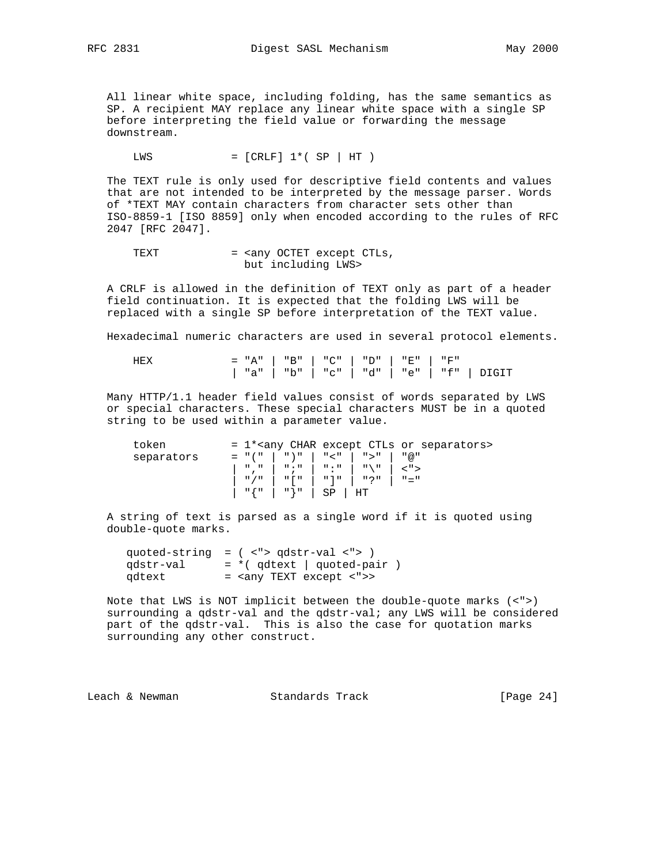All linear white space, including folding, has the same semantics as SP. A recipient MAY replace any linear white space with a single SP before interpreting the field value or forwarding the message downstream.

 $LWS = [CRLF] 1*(SP | HT)$ 

 The TEXT rule is only used for descriptive field contents and values that are not intended to be interpreted by the message parser. Words of \*TEXT MAY contain characters from character sets other than ISO-8859-1 [ISO 8859] only when encoded according to the rules of RFC 2047 [RFC 2047].

TEXT = <any OCTET except CTLs, but including LWS>

 A CRLF is allowed in the definition of TEXT only as part of a header field continuation. It is expected that the folding LWS will be replaced with a single SP before interpretation of the TEXT value.

Hexadecimal numeric characters are used in several protocol elements.

 HEX = "A" | "B" | "C" | "D" | "E" | "F" | "a" | "b" | "c" | "d" | "e" | "f" | DIGIT

 Many HTTP/1.1 header field values consist of words separated by LWS or special characters. These special characters MUST be in a quoted string to be used within a parameter value.

| token      |                               |                              |  | = 1* <any char="" ctls="" except="" or="" separators=""></any> |
|------------|-------------------------------|------------------------------|--|----------------------------------------------------------------|
| separators | = "("   ")"   "<"   ">"   "@" |                              |  |                                                                |
|            |                               |                              |  |                                                                |
|            | "/"   "["   "]"   "?"   "="   |                              |  |                                                                |
|            |                               | $"\{\n"   "}\n"   S\nP   HT$ |  |                                                                |

 A string of text is parsed as a single word if it is quoted using double-quote marks.

 quoted-string = ( <"> qdstr-val <"> )  $qdstr-val$  = \*( $qdtext{text}$  |  $quoted-pair$ ) qdtext = <any TEXT except <">>

 Note that LWS is NOT implicit between the double-quote marks (<">) surrounding a qdstr-val and the qdstr-val; any LWS will be considered part of the qdstr-val. This is also the case for quotation marks surrounding any other construct.

Leach & Newman Standards Track [Page 24]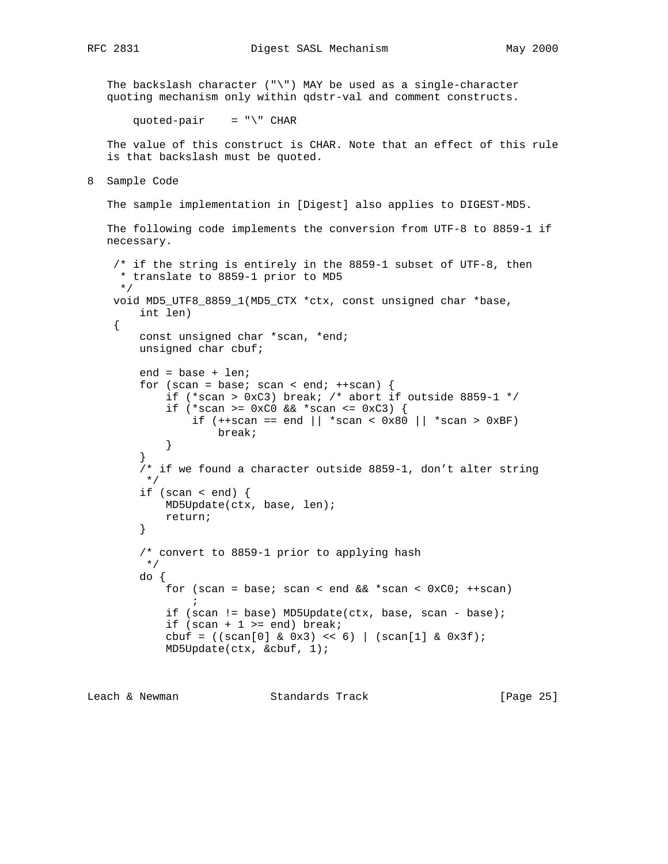The backslash character  $(\sqrt{m})$  MAY be used as a single-character quoting mechanism only within qdstr-val and comment constructs.

quoted-pair =  $"\$  CHAR

 The value of this construct is CHAR. Note that an effect of this rule is that backslash must be quoted.

8 Sample Code

The sample implementation in [Digest] also applies to DIGEST-MD5.

```
 The following code implements the conversion from UTF-8 to 8859-1 if
 necessary.
```

```
 /* if the string is entirely in the 8859-1 subset of UTF-8, then
      * translate to 8859-1 prior to MD5
      */
     void MD5_UTF8_8859_1(MD5_CTX *ctx, const unsigned char *base,
         int len)
     {
         const unsigned char *scan, *end;
         unsigned char cbuf;
         end = base + len;
        for (scan = base; scan < end; ++scan) {
             if (*scan > 0xC3) break; /* abort if outside 8859-1 */
             if (*scan >= 0 \times C0 && *scan <= 0 \times C3) {
                 if (+\text{scan} == \text{end} \mid \mid \text{*scan} < 0x80 \mid \mid \text{*scan} > 0xBF) break;
 }
 }
          /* if we found a character outside 8859-1, don't alter string
          */
        if (scan < end) \{ MD5Update(ctx, base, len);
             return;
          }
          /* convert to 8859-1 prior to applying hash
          */
         do {
             for (scan = base; scan < end & *scan < 0xC0; ++scan)
\mathcal{L}^{\text{max}} is a set of \mathcal{L}^{\text{max}} if (scan != base) MD5Update(ctx, base, scan - base);
             if (scan + 1 >= end) break;
             cbuf = ((\text{scan}[0] \& 0x3) \iff 6) | (\text{scan}[1] \& 0x3f); MD5Update(ctx, &cbuf, 1);
```
Leach & Newman Standards Track [Page 25]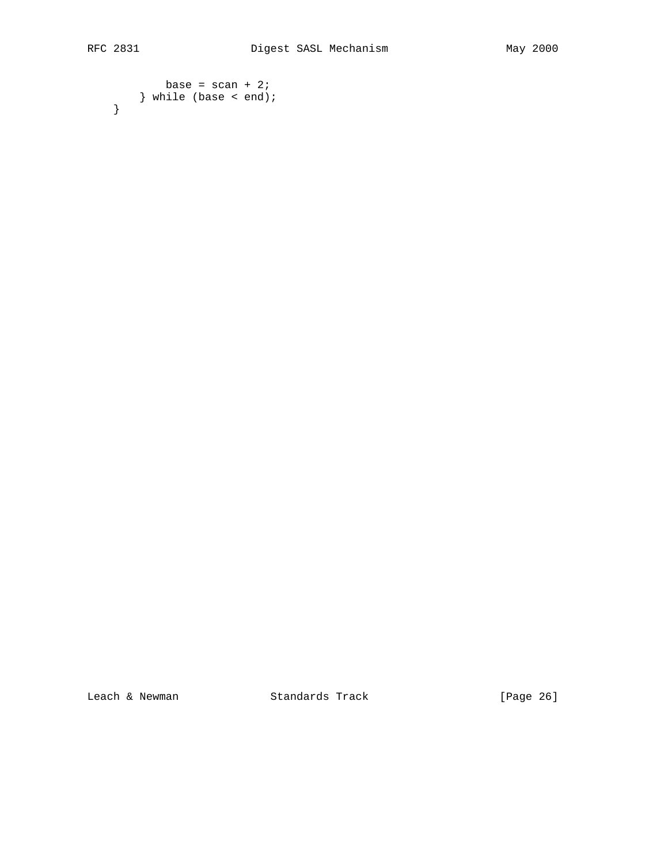```
base = scan + 2;
   } while (base < end);
 }
```